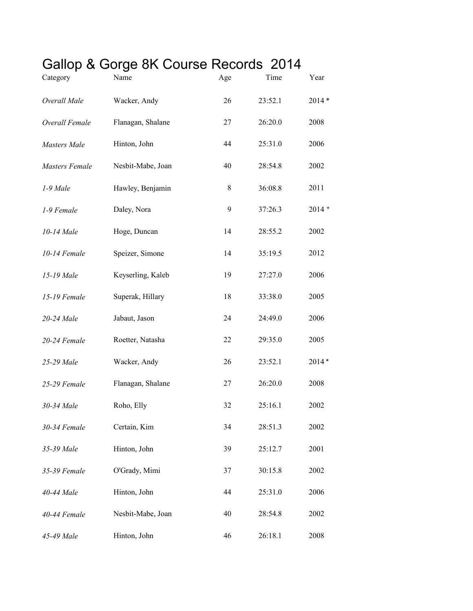## Gallop & Gorge 8K Course Records 2014

| Category              | Name              | Age | Time    | Year    |
|-----------------------|-------------------|-----|---------|---------|
| Overall Male          | Wacker, Andy      | 26  | 23:52.1 | $2014*$ |
| Overall Female        | Flanagan, Shalane | 27  | 26:20.0 | 2008    |
| Masters Male          | Hinton, John      | 44  | 25:31.0 | 2006    |
| <b>Masters Female</b> | Nesbit-Mabe, Joan | 40  | 28:54.8 | 2002    |
| 1-9 Male              | Hawley, Benjamin  | 8   | 36:08.8 | 2011    |
| 1-9 Female            | Daley, Nora       | 9   | 37:26.3 | $2014*$ |
| 10-14 Male            | Hoge, Duncan      | 14  | 28:55.2 | 2002    |
| 10-14 Female          | Speizer, Simone   | 14  | 35:19.5 | 2012    |
| 15-19 Male            | Keyserling, Kaleb | 19  | 27:27.0 | 2006    |
| 15-19 Female          | Superak, Hillary  | 18  | 33:38.0 | 2005    |
| 20-24 Male            | Jabaut, Jason     | 24  | 24:49.0 | 2006    |
| 20-24 Female          | Roetter, Natasha  | 22  | 29:35.0 | 2005    |
| 25-29 Male            | Wacker, Andy      | 26  | 23:52.1 | $2014*$ |
| 25-29 Female          | Flanagan, Shalane | 27  | 26:20.0 | 2008    |
| 30-34 Male            | Roho, Elly        | 32  | 25:16.1 | 2002    |
| 30-34 Female          | Certain, Kim      | 34  | 28:51.3 | 2002    |
| 35-39 Male            | Hinton, John      | 39  | 25:12.7 | 2001    |
| 35-39 Female          | O'Grady, Mimi     | 37  | 30:15.8 | 2002    |
| 40-44 Male            | Hinton, John      | 44  | 25:31.0 | 2006    |
| 40-44 Female          | Nesbit-Mabe, Joan | 40  | 28:54.8 | 2002    |
| 45-49 Male            | Hinton, John      | 46  | 26:18.1 | 2008    |